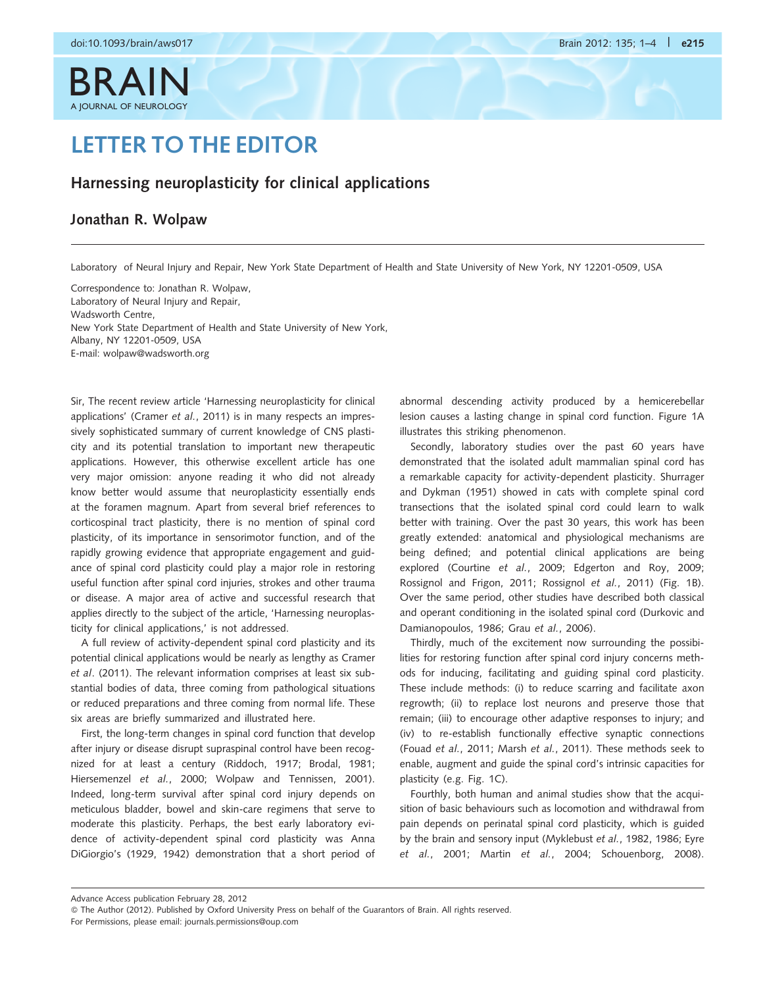A JOURNAL OF NEUROLOGY

RR AI

# LETTER TO THE EDITOR

### Harnessing neuroplasticity for clinical applications

### Jonathan R. Wolpaw

Laboratory of Neural Injury and Repair, New York State Department of Health and State University of New York, NY 12201-0509, USA

Correspondence to: Jonathan R. Wolpaw, Laboratory of Neural Injury and Repair, Wadsworth Centre, New York State Department of Health and State University of New York, Albany, NY 12201-0509, USA E-mail: wolpaw@wadsworth.org

Sir, The recent review article 'Harnessing neuroplasticity for clinical applications' ([Cramer](#page-3-0) et al., 2011) is in many respects an impressively sophisticated summary of current knowledge of CNS plasticity and its potential translation to important new therapeutic applications. However, this otherwise excellent article has one very major omission: anyone reading it who did not already know better would assume that neuroplasticity essentially ends at the foramen magnum. Apart from several brief references to corticospinal tract plasticity, there is no mention of spinal cord plasticity, of its importance in sensorimotor function, and of the rapidly growing evidence that appropriate engagement and guidance of spinal cord plasticity could play a major role in restoring useful function after spinal cord injuries, strokes and other trauma or disease. A major area of active and successful research that applies directly to the subject of the article, 'Harnessing neuroplasticity for clinical applications,' is not addressed.

A full review of activity-dependent spinal cord plasticity and its potential clinical applications would be nearly as lengthy as [Cramer](#page-3-0) et al[. \(2011\)](#page-3-0). The relevant information comprises at least six substantial bodies of data, three coming from pathological situations or reduced preparations and three coming from normal life. These six areas are briefly summarized and illustrated here.

First, the long-term changes in spinal cord function that develop after injury or disease disrupt supraspinal control have been recognized for at least a century [\(Riddoch, 1917](#page-3-0); [Brodal, 1981](#page-3-0); [Hiersemenzel](#page-3-0) et al., 2000; [Wolpaw and Tennissen, 2001](#page-3-0)). Indeed, long-term survival after spinal cord injury depends on meticulous bladder, bowel and skin-care regimens that serve to moderate this plasticity. Perhaps, the best early laboratory evidence of activity-dependent spinal cord plasticity was Anna DiGiorgio's ([1929](#page-3-0), [1942](#page-3-0)) demonstration that a short period of abnormal descending activity produced by a hemicerebellar lesion causes a lasting change in spinal cord function. [Figure 1A](#page-1-0) illustrates this striking phenomenon.

Secondly, laboratory studies over the past 60 years have demonstrated that the isolated adult mammalian spinal cord has a remarkable capacity for activity-dependent plasticity. [Shurrager](#page-3-0) [and Dykman \(1951\)](#page-3-0) showed in cats with complete spinal cord transections that the isolated spinal cord could learn to walk better with training. Over the past 30 years, this work has been greatly extended: anatomical and physiological mechanisms are being defined; and potential clinical applications are being explored ([Courtine](#page-3-0) et al., 2009; [Edgerton and Roy, 2009](#page-3-0); [Rossignol and Frigon, 2011](#page-3-0); [Rossignol](#page-3-0) et al., 2011) ([Fig. 1B](#page-1-0)). Over the same period, other studies have described both classical and operant conditioning in the isolated spinal cord ([Durkovic and](#page-3-0) [Damianopoulos, 1986;](#page-3-0) Grau et al.[, 2006\)](#page-3-0).

Thirdly, much of the excitement now surrounding the possibilities for restoring function after spinal cord injury concerns methods for inducing, facilitating and guiding spinal cord plasticity. These include methods: (i) to reduce scarring and facilitate axon regrowth; (ii) to replace lost neurons and preserve those that remain; (iii) to encourage other adaptive responses to injury; and (iv) to re-establish functionally effective synaptic connections (Fouad et al.[, 2011](#page-3-0); Marsh et al.[, 2011\)](#page-3-0). These methods seek to enable, augment and guide the spinal cord's intrinsic capacities for plasticity (e.g. [Fig. 1](#page-1-0)C).

Fourthly, both human and animal studies show that the acquisition of basic behaviours such as locomotion and withdrawal from pain depends on perinatal spinal cord plasticity, which is guided by the brain and sensory input [\(Myklebust](#page-3-0) et al., 1982, [1986](#page-3-0); [Eyre](#page-3-0) et al.[, 2001](#page-3-0); Martin et al.[, 2004](#page-3-0); [Schouenborg, 2008](#page-3-0)).

Advance Access publication February 28, 2012

For Permissions, please email: journals.permissions@oup.com

<sup>©</sup> The Author (2012). Published by Oxford University Press on behalf of the Guarantors of Brain. All rights reserved.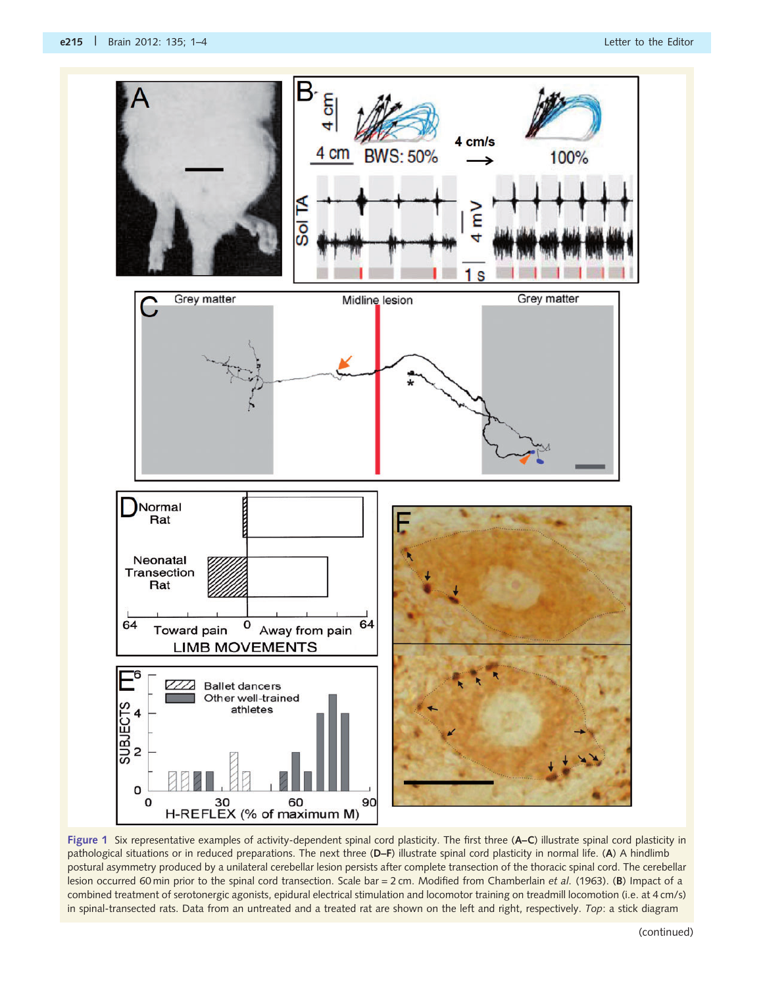<span id="page-1-0"></span>

Figure 1 Six representative examples of activity-dependent spinal cord plasticity. The first three (A–C) illustrate spinal cord plasticity in pathological situations or in reduced preparations. The next three (D-F) illustrate spinal cord plasticity in normal life. (A) A hindlimb postural asymmetry produced by a unilateral cerebellar lesion persists after complete transection of the thoracic spinal cord. The cerebellar lesion occurred 60 min prior to the spinal cord transection. Scale bar = 2 cm. Modified from [Chamberlain](#page-3-0) et al. (1963). (B) Impact of a combined treatment of serotonergic agonists, epidural electrical stimulation and locomotor training on treadmill locomotion (i.e. at 4 cm/s) in spinal-transected rats. Data from an untreated and a treated rat are shown on the left and right, respectively. Top: a stick diagram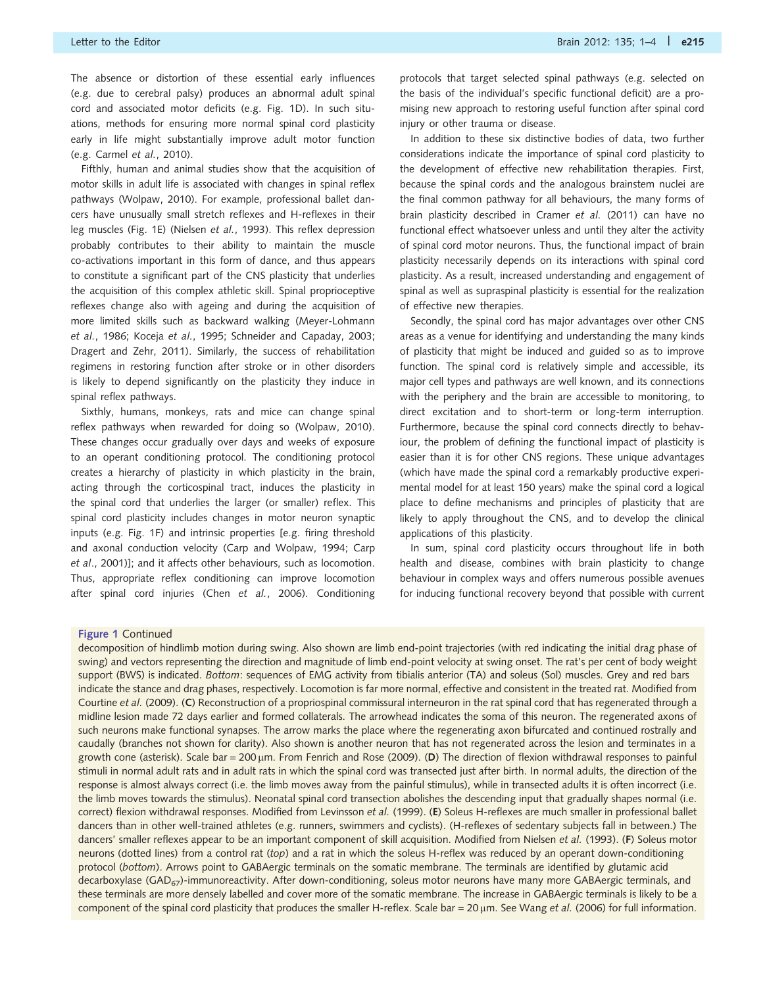The absence or distortion of these essential early influences (e.g. due to cerebral palsy) produces an abnormal adult spinal cord and associated motor deficits (e.g. [Fig. 1](#page-1-0)D). In such situations, methods for ensuring more normal spinal cord plasticity early in life might substantially improve adult motor function (e.g. [Carmel](#page-3-0) et al., 2010).

Fifthly, human and animal studies show that the acquisition of motor skills in adult life is associated with changes in spinal reflex pathways ([Wolpaw, 2010](#page-3-0)). For example, professional ballet dancers have unusually small stretch reflexes and H-reflexes in their leg muscles ([Fig. 1](#page-1-0)E) [\(Nielsen](#page-3-0) et al., 1993). This reflex depression probably contributes to their ability to maintain the muscle co-activations important in this form of dance, and thus appears to constitute a significant part of the CNS plasticity that underlies the acquisition of this complex athletic skill. Spinal proprioceptive reflexes change also with ageing and during the acquisition of more limited skills such as backward walking ([Meyer-Lohmann](#page-3-0) et al.[, 1986](#page-3-0); Koceja et al.[, 1995](#page-3-0); [Schneider and Capaday, 2003](#page-3-0); [Dragert and Zehr, 2011](#page-3-0)). Similarly, the success of rehabilitation regimens in restoring function after stroke or in other disorders is likely to depend significantly on the plasticity they induce in spinal reflex pathways.

Sixthly, humans, monkeys, rats and mice can change spinal reflex pathways when rewarded for doing so [\(Wolpaw, 2010](#page-3-0)). These changes occur gradually over days and weeks of exposure to an operant conditioning protocol. The conditioning protocol creates a hierarchy of plasticity in which plasticity in the brain, acting through the corticospinal tract, induces the plasticity in the spinal cord that underlies the larger (or smaller) reflex. This spinal cord plasticity includes changes in motor neuron synaptic inputs (e.g. [Fig. 1](#page-1-0)F) and intrinsic properties [e.g. firing threshold and axonal conduction velocity ([Carp and Wolpaw, 1994; Carp](#page-3-0) et al[., 2001\)](#page-3-0)]; and it affects other behaviours, such as locomotion. Thus, appropriate reflex conditioning can improve locomotion after spinal cord injuries (Chen et al.[, 2006\)](#page-3-0). Conditioning protocols that target selected spinal pathways (e.g. selected on the basis of the individual's specific functional deficit) are a promising new approach to restoring useful function after spinal cord injury or other trauma or disease.

In addition to these six distinctive bodies of data, two further considerations indicate the importance of spinal cord plasticity to the development of effective new rehabilitation therapies. First, because the spinal cords and the analogous brainstem nuclei are the final common pathway for all behaviours, the many forms of brain plasticity described in [Cramer](#page-3-0) et al. (2011) can have no functional effect whatsoever unless and until they alter the activity of spinal cord motor neurons. Thus, the functional impact of brain plasticity necessarily depends on its interactions with spinal cord plasticity. As a result, increased understanding and engagement of spinal as well as supraspinal plasticity is essential for the realization of effective new therapies.

Secondly, the spinal cord has major advantages over other CNS areas as a venue for identifying and understanding the many kinds of plasticity that might be induced and guided so as to improve function. The spinal cord is relatively simple and accessible, its major cell types and pathways are well known, and its connections with the periphery and the brain are accessible to monitoring, to direct excitation and to short-term or long-term interruption. Furthermore, because the spinal cord connects directly to behaviour, the problem of defining the functional impact of plasticity is easier than it is for other CNS regions. These unique advantages (which have made the spinal cord a remarkably productive experimental model for at least 150 years) make the spinal cord a logical place to define mechanisms and principles of plasticity that are likely to apply throughout the CNS, and to develop the clinical applications of this plasticity.

In sum, spinal cord plasticity occurs throughout life in both health and disease, combines with brain plasticity to change behaviour in complex ways and offers numerous possible avenues for inducing functional recovery beyond that possible with current

#### Figure 1 Continued

decomposition of hindlimb motion during swing. Also shown are limb end-point trajectories (with red indicating the initial drag phase of swing) and vectors representing the direction and magnitude of limb end-point velocity at swing onset. The rat's per cent of body weight support (BWS) is indicated. Bottom: sequences of EMG activity from tibialis anterior (TA) and soleus (Sol) muscles. Grey and red bars indicate the stance and drag phases, respectively. Locomotion is far more normal, effective and consistent in the treated rat. Modified from [Courtine](#page-3-0) et al. (2009). (C) Reconstruction of a propriospinal commissural interneuron in the rat spinal cord that has regenerated through a midline lesion made 72 days earlier and formed collaterals. The arrowhead indicates the soma of this neuron. The regenerated axons of such neurons make functional synapses. The arrow marks the place where the regenerating axon bifurcated and continued rostrally and caudally (branches not shown for clarity). Also shown is another neuron that has not regenerated across the lesion and terminates in a growth cone (asterisk). Scale bar = 200 µm. From [Fenrich and Rose \(2009\)](#page-3-0). (D) The direction of flexion withdrawal responses to painful stimuli in normal adult rats and in adult rats in which the spinal cord was transected just after birth. In normal adults, the direction of the response is almost always correct (i.e. the limb moves away from the painful stimulus), while in transected adults it is often incorrect (i.e. the limb moves towards the stimulus). Neonatal spinal cord transection abolishes the descending input that gradually shapes normal (i.e. correct) flexion withdrawal responses. Modified from [Levinsson](#page-3-0) et al. (1999). (E) Soleus H-reflexes are much smaller in professional ballet dancers than in other well-trained athletes (e.g. runners, swimmers and cyclists). (H-reflexes of sedentary subjects fall in between.) The dancers' smaller reflexes appear to be an important component of skill acquisition. Modified from [Nielsen](#page-3-0) et al. (1993). (F) Soleus motor neurons (dotted lines) from a control rat (top) and a rat in which the soleus H-reflex was reduced by an operant down-conditioning protocol (bottom). Arrows point to GABAergic terminals on the somatic membrane. The terminals are identified by glutamic acid decarboxylase (GAD $_{67}$ )-immunoreactivity. After down-conditioning, soleus motor neurons have many more GABAergic terminals, and these terminals are more densely labelled and cover more of the somatic membrane. The increase in GABAergic terminals is likely to be a component of the spinal cord plasticity that produces the smaller H-reflex. Scale bar  $= 20 \mu m$ . See Wang et al. [\(2006\)](#page-3-0) for full information.